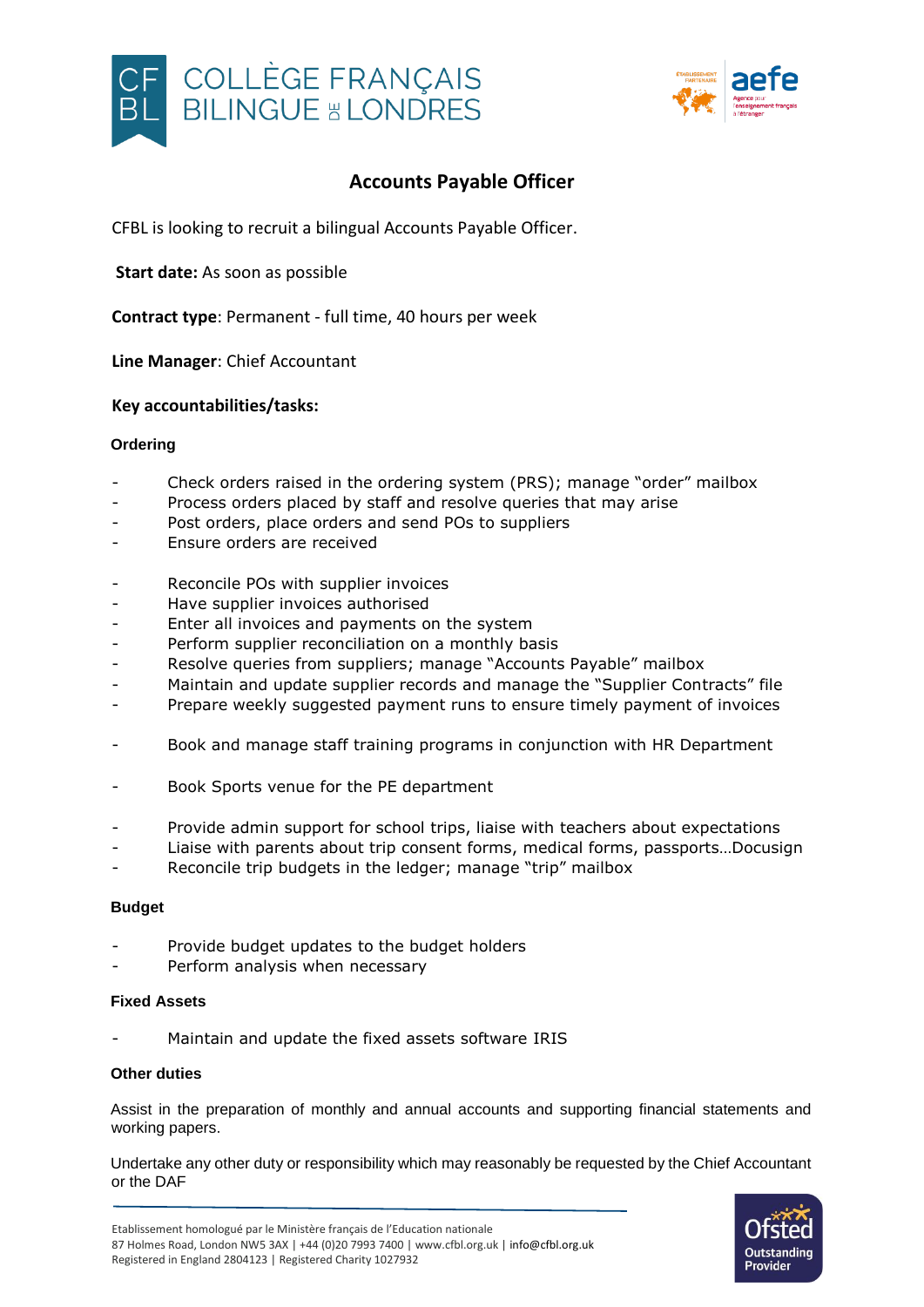



# **Accounts Payable Officer**

CFBL is looking to recruit a bilingual Accounts Payable Officer.

**Start date:** As soon as possible

**Contract type**: Permanent - full time, 40 hours per week

**Line Manager**: Chief Accountant

### **Key accountabilities/tasks:**

### **Ordering**

- Check orders raised in the ordering system (PRS); manage "order" mailbox
- Process orders placed by staff and resolve queries that may arise
- Post orders, place orders and send POs to suppliers
- Ensure orders are received
- Reconcile POs with supplier invoices
- Have supplier invoices authorised
- Enter all invoices and payments on the system
- Perform supplier reconciliation on a monthly basis
- Resolve queries from suppliers; manage "Accounts Payable" mailbox
- Maintain and update supplier records and manage the "Supplier Contracts" file
- Prepare weekly suggested payment runs to ensure timely payment of invoices
- Book and manage staff training programs in conjunction with HR Department
- Book Sports venue for the PE department
- Provide admin support for school trips, liaise with teachers about expectations
- Liaise with parents about trip consent forms, medical forms, passports...Docusign
- Reconcile trip budgets in the ledger; manage "trip" mailbox

### **Budget**

- Provide budget updates to the budget holders
- Perform analysis when necessary

### **Fixed Assets**

Maintain and update the fixed assets software IRIS

### **Other duties**

Assist in the preparation of monthly and annual accounts and supporting financial statements and working papers.

Undertake any other duty or responsibility which may reasonably be requested by the Chief Accountant or the DAF

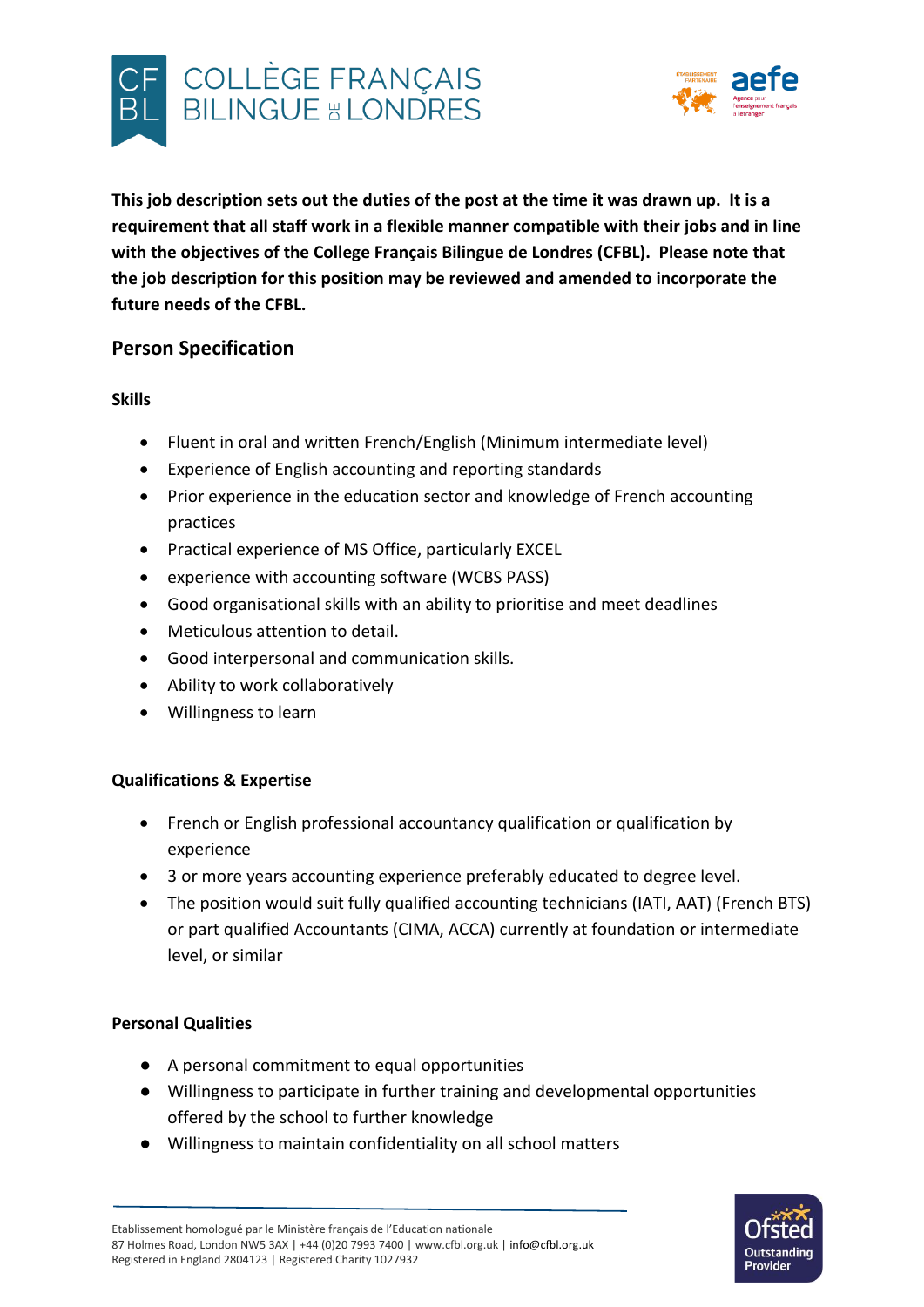



**This job description sets out the duties of the post at the time it was drawn up. It is a requirement that all staff work in a flexible manner compatible with their jobs and in line with the objectives of the College Français Bilingue de Londres (CFBL). Please note that the job description for this position may be reviewed and amended to incorporate the future needs of the CFBL.**

# **Person Specification**

**Skills**

- Fluent in oral and written French/English (Minimum intermediate level)
- Experience of English accounting and reporting standards
- Prior experience in the education sector and knowledge of French accounting practices
- Practical experience of MS Office, particularly EXCEL
- experience with accounting software (WCBS PASS)
- Good organisational skills with an ability to prioritise and meet deadlines
- Meticulous attention to detail.
- Good interpersonal and communication skills.
- Ability to work collaboratively
- Willingness to learn

## **Qualifications & Expertise**

- French or English professional accountancy qualification or qualification by experience
- 3 or more years accounting experience preferably educated to degree level.
- The position would suit fully qualified accounting technicians (IATI, AAT) (French BTS) or part qualified Accountants (CIMA, ACCA) currently at foundation or intermediate level, or similar

## **Personal Qualities**

- A personal commitment to equal opportunities
- Willingness to participate in further training and developmental opportunities offered by the school to further knowledge
- Willingness to maintain confidentiality on all school matters